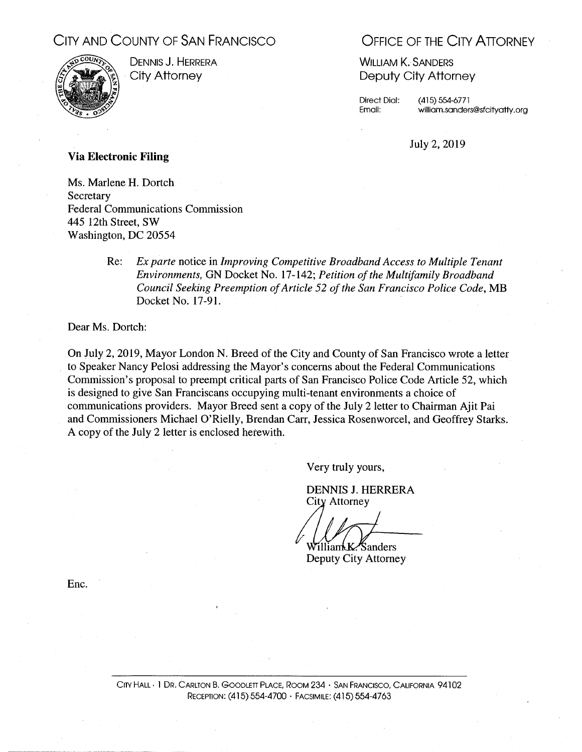## CITY AND COUNTY OF SAN FRANCISCO



DENNIS J. HERRERA City Attorney

## **OFFICE OF THE CITY ATTORNEY**

**WILLIAM K. SANDERS** Deputy City Attorney

**Direct Dial:** Email:

 $(415) 554-6771$ william.sanders@sfcityatty.org

July 2, 2019

## **Via Electronic Filing**

Ms. Marlene H. Dortch Secretary **Federal Communications Commission** 445 12th Street, SW Washington, DC 20554

> Ex parte notice in Improving Competitive Broadband Access to Multiple Tenant Re: Environments, GN Docket No. 17-142; Petition of the Multifamily Broadband Council Seeking Preemption of Article 52 of the San Francisco Police Code, MB Docket No. 17-91.

Dear Ms. Dortch:

On July 2, 2019, Mayor London N. Breed of the City and County of San Francisco wrote a letter to Speaker Nancy Pelosi addressing the Mayor's concerns about the Federal Communications Commission's proposal to preempt critical parts of San Francisco Police Code Article 52, which is designed to give San Franciscans occupying multi-tenant environments a choice of communications providers. Mayor Breed sent a copy of the July 2 letter to Chairman Ajit Pai and Commissioners Michael O'Rielly, Brendan Carr, Jessica Rosenworcel, and Geoffrey Starks. A copy of the July 2 letter is enclosed herewith.

Very truly yours,

DENNIS J. HERRERA City Attorney

WilliamkK *Sanders* Deputy City Attorney

Enc.

CITY HALL . 1 DR. CARLTON B. GOODLETT PLACE, ROOM 234 · SAN FRANCISCO, CALIFORNIA 94102 RECEPTION: (415) 554-4700 · FACSIMILE: (415) 554-4763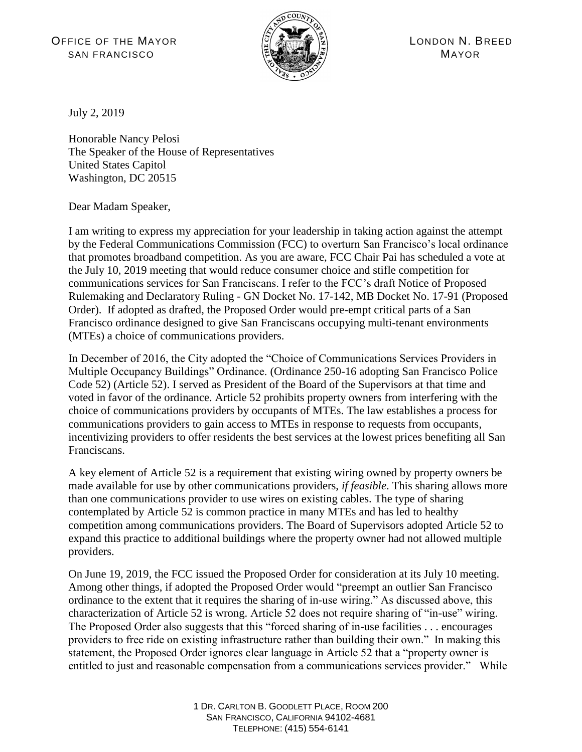OFFICE OF THE MAYOR  $\frac{|\widetilde{G}|}{|\widetilde{G}|}\sqrt{\widetilde{G}(\widetilde{G})}$  (2) LONDON N. BREED SAN FRANCISCO **MAYOR** (ELAMENT)



July 2, 2019

Honorable Nancy Pelosi The Speaker of the House of Representatives United States Capitol Washington, DC 20515

Dear Madam Speaker,

I am writing to express my appreciation for your leadership in taking action against the attempt by the Federal Communications Commission (FCC) to overturn San Francisco's local ordinance that promotes broadband competition. As you are aware, FCC Chair Pai has scheduled a vote at the July 10, 2019 meeting that would reduce consumer choice and stifle competition for communications services for San Franciscans. I refer to the FCC's draft [Notice of Proposed](https://docs.fcc.gov/public/attachments/DOC-358068A1.pdf)  Rulemaking and Declaratory Ruling - [GN Docket No. 17-142, MB Docket No. 17-91](https://docs.fcc.gov/public/attachments/DOC-358068A1.pdf) (Proposed Order). If adopted as drafted, the Proposed Order would pre-empt critical parts of a San Francisco ordinance designed to give San Franciscans occupying multi-tenant environments (MTEs) a choice of communications providers.

In December of 2016, the City adopted the "Choice of Communications Services Providers in Multiple Occupancy Buildings" Ordinance. (Ordinance 250-16 adopting San Francisco Police Code 52) (Article 52). I served as President of the Board of the Supervisors at that time and voted in favor of the ordinance. Article 52 prohibits property owners from interfering with the choice of communications providers by occupants of MTEs. The law establishes a process for communications providers to gain access to MTEs in response to requests from occupants, incentivizing providers to offer residents the best services at the lowest prices benefiting all San Franciscans.

A key element of Article 52 is a requirement that existing wiring owned by property owners be made available for use by other communications providers, *if feasible*. This sharing allows more than one communications provider to use wires on existing cables. The type of sharing contemplated by Article 52 is common practice in many MTEs and has led to healthy competition among communications providers. The Board of Supervisors adopted Article 52 to expand this practice to additional buildings where the property owner had not allowed multiple providers.

On June 19, 2019, the FCC issued the Proposed Order for consideration at its July 10 meeting. Among other things, if adopted the Proposed Order would "preempt an outlier San Francisco ordinance to the extent that it requires the sharing of in-use wiring." As discussed above, this characterization of Article 52 is wrong. Article 52 does not require sharing of "in-use" wiring. The Proposed Order also suggests that this "forced sharing of in-use facilities . . . encourages providers to free ride on existing infrastructure rather than building their own." In making this statement, the Proposed Order ignores clear language in Article 52 that a "property owner is entitled to just and reasonable compensation from a communications services provider." While